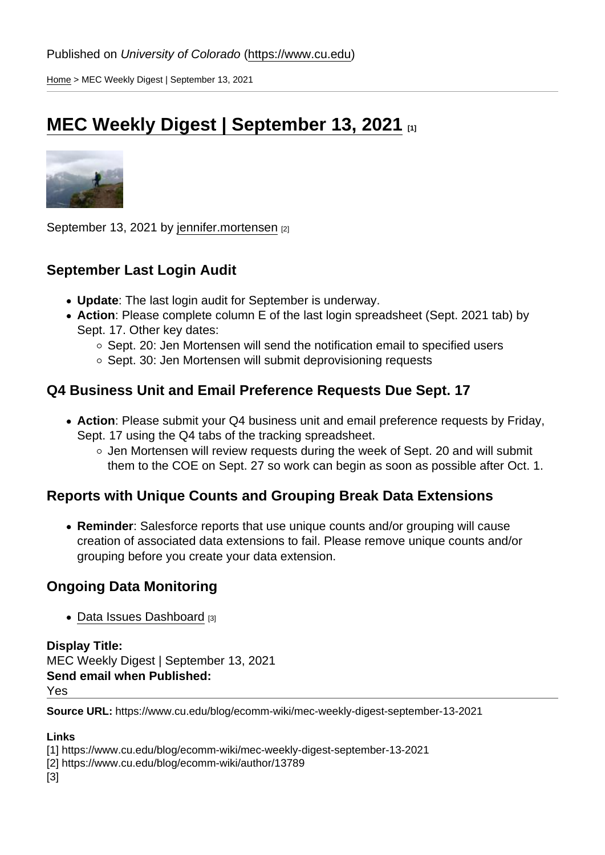[Home](https://www.cu.edu/) > MEC Weekly Digest | September 13, 2021

## [MEC Weekly Digest | September 13, 2021](https://www.cu.edu/blog/ecomm-wiki/mec-weekly-digest-september-13-2021) [1]

September 13, 2021 by [jennifer.mortensen](https://www.cu.edu/blog/ecomm-wiki/author/13789) [2]

September Last Login Audit

- Update : The last login audit for September is underway.
- Action : Please complete column E of the last login spreadsheet (Sept. 2021 tab) by Sept. 17. Other key dates:
	- o Sept. 20: Jen Mortensen will send the notification email to specified users
	- $\circ$  Sept. 30: Jen Mortensen will submit deprovisioning requests

## Q4 Business Unit and Email Preference Requests Due Sept. 17

- Action : Please submit your Q4 business unit and email preference requests by Friday, Sept. 17 using the Q4 tabs of the tracking spreadsheet.
	- $\circ$  Jen Mortensen will review requests during the week of Sept. 20 and will submit them to the COE on Sept. 27 so work can begin as soon as possible after Oct. 1.

Reports with Unique Counts and Grouping Break Data Extensions

• Reminder : Salesforce reports that use unique counts and/or grouping will cause creation of associated data extensions to fail. Please remove unique counts and/or grouping before you create your data extension.

## Ongoing Data Monitoring

• [Data Issues Dashboard](http://cuecomm.lightning.force.com/lightning/r/Dashboard/01Zf4000000fOP8EAM/view?queryScope=userFolders) [3]

Display Title: MEC Weekly Digest | September 13, 2021 Send email when Published: Yes

Source URL: https://www.cu.edu/blog/ecomm-wiki/mec-weekly-digest-september-13-2021

Links

[1] https://www.cu.edu/blog/ecomm-wiki/mec-weekly-digest-september-13-2021

[2] https://www.cu.edu/blog/ecomm-wiki/author/13789

[3]